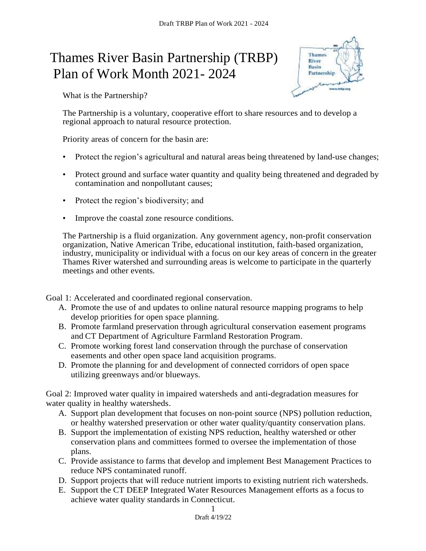## Thames River Basin Partnership (TRBP) Plan of Work Month 2021- 2024



What is the Partnership?

The Partnership is a voluntary, cooperative effort to share resources and to develop a regional approach to natural resource protection.

Priority areas of concern for the basin are:

- Protect the region's agricultural and natural areas being threatened by land-use changes;
- Protect ground and surface water quantity and quality being threatened and degraded by contamination and nonpollutant causes;
- Protect the region's biodiversity; and
- Improve the coastal zone resource conditions.

The Partnership is a fluid organization. Any government agency, non-profit conservation organization, Native American Tribe, educational institution, faith-based organization, industry, municipality or individual with a focus on our key areas of concern in the greater Thames River watershed and surrounding areas is welcome to participate in the quarterly meetings and other events.

Goal 1: Accelerated and coordinated regional conservation.

- A. Promote the use of and updates to online natural resource mapping programs to help develop priorities for open space planning.
- B. Promote farmland preservation through agricultural conservation easement programs and CT Department of Agriculture Farmland Restoration Program.
- C. Promote working forest land conservation through the purchase of conservation easements and other open space land acquisition programs.
- D. Promote the planning for and development of connected corridors of open space utilizing greenways and/or blueways.

Goal 2: Improved water quality in impaired watersheds and anti-degradation measures for water quality in healthy watersheds.

- A. Support plan development that focuses on non-point source (NPS) pollution reduction, or healthy watershed preservation or other water quality/quantity conservation plans.
- B. Support the implementation of existing NPS reduction, healthy watershed or other conservation plans and committees formed to oversee the implementation of those plans.
- C. Provide assistance to farms that develop and implement Best Management Practices to reduce NPS contaminated runoff.
- D. Support projects that will reduce nutrient imports to existing nutrient rich watersheds.
- E. Support the CT DEEP Integrated Water Resources Management efforts as a focus to achieve water quality standards in Connecticut.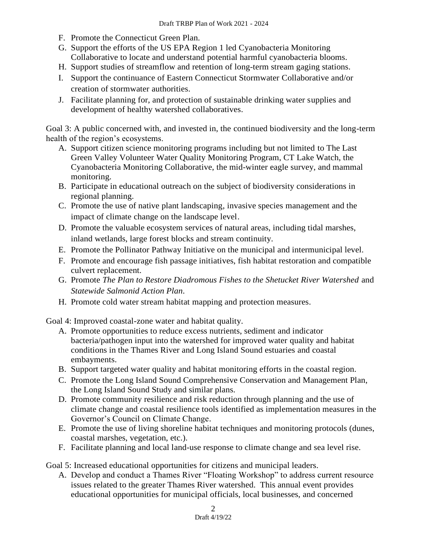- F. Promote the Connecticut Green Plan.
- G. Support the efforts of the US EPA Region 1 led Cyanobacteria Monitoring Collaborative to locate and understand potential harmful cyanobacteria blooms.
- H. Support studies of streamflow and retention of long-term stream gaging stations.
- I. Support the continuance of Eastern Connecticut Stormwater Collaborative and/or creation of stormwater authorities.
- J. Facilitate planning for, and protection of sustainable drinking water supplies and development of healthy watershed collaboratives.

Goal 3: A public concerned with, and invested in, the continued biodiversity and the long-term health of the region's ecosystems.

- A. Support citizen science monitoring programs including but not limited to The Last Green Valley Volunteer Water Quality Monitoring Program, CT Lake Watch, the Cyanobacteria Monitoring Collaborative, the mid-winter eagle survey, and mammal monitoring.
- B. Participate in educational outreach on the subject of biodiversity considerations in regional planning.
- C. Promote the use of native plant landscaping, invasive species management and the impact of climate change on the landscape level.
- D. Promote the valuable ecosystem services of natural areas, including tidal marshes, inland wetlands, large forest blocks and stream continuity.
- E. Promote the Pollinator Pathway Initiative on the municipal and intermunicipal level.
- F. Promote and encourage fish passage initiatives, fish habitat restoration and compatible culvert replacement.
- G. Promote *The Plan to Restore Diadromous Fishes to the Shetucket River Watershed* and *Statewide Salmonid Action Plan.*
- H. Promote cold water stream habitat mapping and protection measures.

Goal 4: Improved coastal-zone water and habitat quality.

- A. Promote opportunities to reduce excess nutrients, sediment and indicator bacteria/pathogen input into the watershed for improved water quality and habitat conditions in the Thames River and Long Island Sound estuaries and coastal embayments.
- B. Support targeted water quality and habitat monitoring efforts in the coastal region.
- C. Promote the Long Island Sound Comprehensive Conservation and Management Plan, the Long Island Sound Study and similar plans.
- D. Promote community resilience and risk reduction through planning and the use of climate change and coastal resilience tools identified as implementation measures in the Governor's Council on Climate Change.
- E. Promote the use of living shoreline habitat techniques and monitoring protocols (dunes, coastal marshes, vegetation, etc.).
- F. Facilitate planning and local land-use response to climate change and sea level rise.

Goal 5: Increased educational opportunities for citizens and municipal leaders.

A. Develop and conduct a Thames River "Floating Workshop" to address current resource issues related to the greater Thames River watershed. This annual event provides educational opportunities for municipal officials, local businesses, and concerned